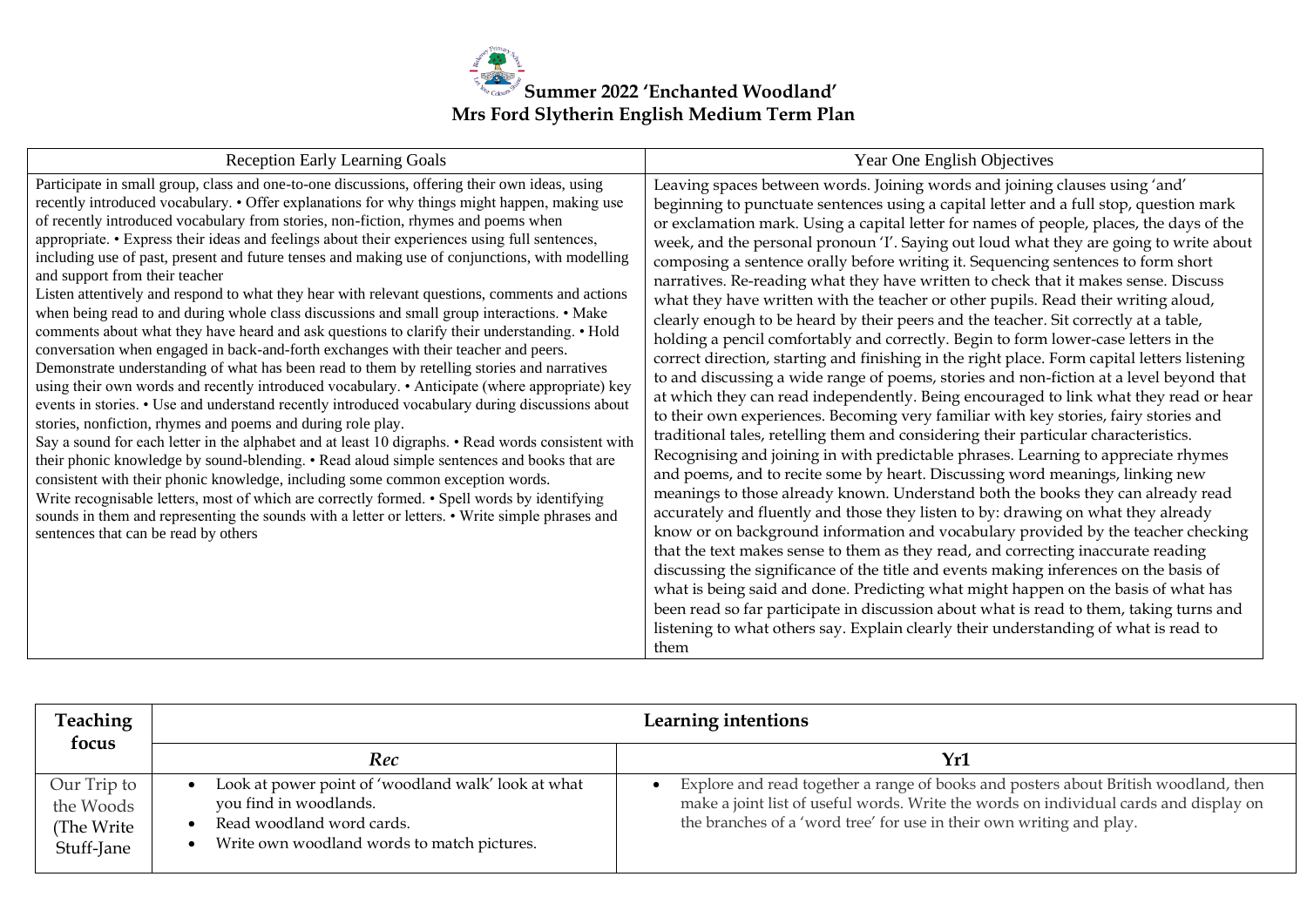

## **Summer 2022 'Enchanted Woodland' Mrs Ford Slytherin English Medium Term Plan**

| <b>Reception Early Learning Goals</b>                                                                                                                                                                                                                                                                                                                                                                                                                                                                                                                                                                                                                                                                                                                                                                                                                                                                                                                                                                                                                                                                                                                                                                                                                                                                                                                                                                                                                                                                                                                                                                                                                                                                                                                                                                                | Year One English Objectives                                                                                                                                                                                                                                                                                                                                                                                                                                                                                                                                                                                                                                                                                                                                                                                                                                                                                                                                                                                                                                                                                                                                                                                                                                                                                                                                                                                                                                                                                                                                                                                                                                                                                                                                                                                                                                                                                                                                                                                                                                                                                                                                                         |
|----------------------------------------------------------------------------------------------------------------------------------------------------------------------------------------------------------------------------------------------------------------------------------------------------------------------------------------------------------------------------------------------------------------------------------------------------------------------------------------------------------------------------------------------------------------------------------------------------------------------------------------------------------------------------------------------------------------------------------------------------------------------------------------------------------------------------------------------------------------------------------------------------------------------------------------------------------------------------------------------------------------------------------------------------------------------------------------------------------------------------------------------------------------------------------------------------------------------------------------------------------------------------------------------------------------------------------------------------------------------------------------------------------------------------------------------------------------------------------------------------------------------------------------------------------------------------------------------------------------------------------------------------------------------------------------------------------------------------------------------------------------------------------------------------------------------|-------------------------------------------------------------------------------------------------------------------------------------------------------------------------------------------------------------------------------------------------------------------------------------------------------------------------------------------------------------------------------------------------------------------------------------------------------------------------------------------------------------------------------------------------------------------------------------------------------------------------------------------------------------------------------------------------------------------------------------------------------------------------------------------------------------------------------------------------------------------------------------------------------------------------------------------------------------------------------------------------------------------------------------------------------------------------------------------------------------------------------------------------------------------------------------------------------------------------------------------------------------------------------------------------------------------------------------------------------------------------------------------------------------------------------------------------------------------------------------------------------------------------------------------------------------------------------------------------------------------------------------------------------------------------------------------------------------------------------------------------------------------------------------------------------------------------------------------------------------------------------------------------------------------------------------------------------------------------------------------------------------------------------------------------------------------------------------------------------------------------------------------------------------------------------------|
| Participate in small group, class and one-to-one discussions, offering their own ideas, using<br>recently introduced vocabulary. • Offer explanations for why things might happen, making use<br>of recently introduced vocabulary from stories, non-fiction, rhymes and poems when<br>appropriate. • Express their ideas and feelings about their experiences using full sentences,<br>including use of past, present and future tenses and making use of conjunctions, with modelling<br>and support from their teacher<br>Listen attentively and respond to what they hear with relevant questions, comments and actions<br>when being read to and during whole class discussions and small group interactions. • Make<br>comments about what they have heard and ask questions to clarify their understanding. • Hold<br>conversation when engaged in back-and-forth exchanges with their teacher and peers.<br>Demonstrate understanding of what has been read to them by retelling stories and narratives<br>using their own words and recently introduced vocabulary. • Anticipate (where appropriate) key<br>events in stories. • Use and understand recently introduced vocabulary during discussions about<br>stories, nonfiction, rhymes and poems and during role play.<br>Say a sound for each letter in the alphabet and at least 10 digraphs. • Read words consistent with<br>their phonic knowledge by sound-blending. • Read aloud simple sentences and books that are<br>consistent with their phonic knowledge, including some common exception words.<br>Write recognisable letters, most of which are correctly formed. • Spell words by identifying<br>sounds in them and representing the sounds with a letter or letters. • Write simple phrases and<br>sentences that can be read by others | Leaving spaces between words. Joining words and joining clauses using 'and'<br>beginning to punctuate sentences using a capital letter and a full stop, question mark<br>or exclamation mark. Using a capital letter for names of people, places, the days of the<br>week, and the personal pronoun 'I'. Saying out loud what they are going to write about<br>composing a sentence orally before writing it. Sequencing sentences to form short<br>narratives. Re-reading what they have written to check that it makes sense. Discuss<br>what they have written with the teacher or other pupils. Read their writing aloud,<br>clearly enough to be heard by their peers and the teacher. Sit correctly at a table,<br>holding a pencil comfortably and correctly. Begin to form lower-case letters in the<br>correct direction, starting and finishing in the right place. Form capital letters listening<br>to and discussing a wide range of poems, stories and non-fiction at a level beyond that<br>at which they can read independently. Being encouraged to link what they read or hear<br>to their own experiences. Becoming very familiar with key stories, fairy stories and<br>traditional tales, retelling them and considering their particular characteristics.<br>Recognising and joining in with predictable phrases. Learning to appreciate rhymes<br>and poems, and to recite some by heart. Discussing word meanings, linking new<br>meanings to those already known. Understand both the books they can already read<br>accurately and fluently and those they listen to by: drawing on what they already<br>know or on background information and vocabulary provided by the teacher checking<br>that the text makes sense to them as they read, and correcting inaccurate reading<br>discussing the significance of the title and events making inferences on the basis of<br>what is being said and done. Predicting what might happen on the basis of what has<br>been read so far participate in discussion about what is read to them, taking turns and<br>listening to what others say. Explain clearly their understanding of what is read to<br>them |

| <b>Teaching</b><br>focus                              | Learning intentions                                                                                                                                       |                                                                                                                                                                                                                                                      |
|-------------------------------------------------------|-----------------------------------------------------------------------------------------------------------------------------------------------------------|------------------------------------------------------------------------------------------------------------------------------------------------------------------------------------------------------------------------------------------------------|
|                                                       | Rec                                                                                                                                                       | Yr1                                                                                                                                                                                                                                                  |
| Our Trip to<br>the Woods<br>(The Write)<br>Stuff-Jane | Look at power point of 'woodland walk' look at what<br>you find in woodlands.<br>Read woodland word cards.<br>Write own woodland words to match pictures. | Explore and read together a range of books and posters about British woodland, then<br>make a joint list of useful words. Write the words on individual cards and display on<br>the branches of a 'word tree' for use in their own writing and play. |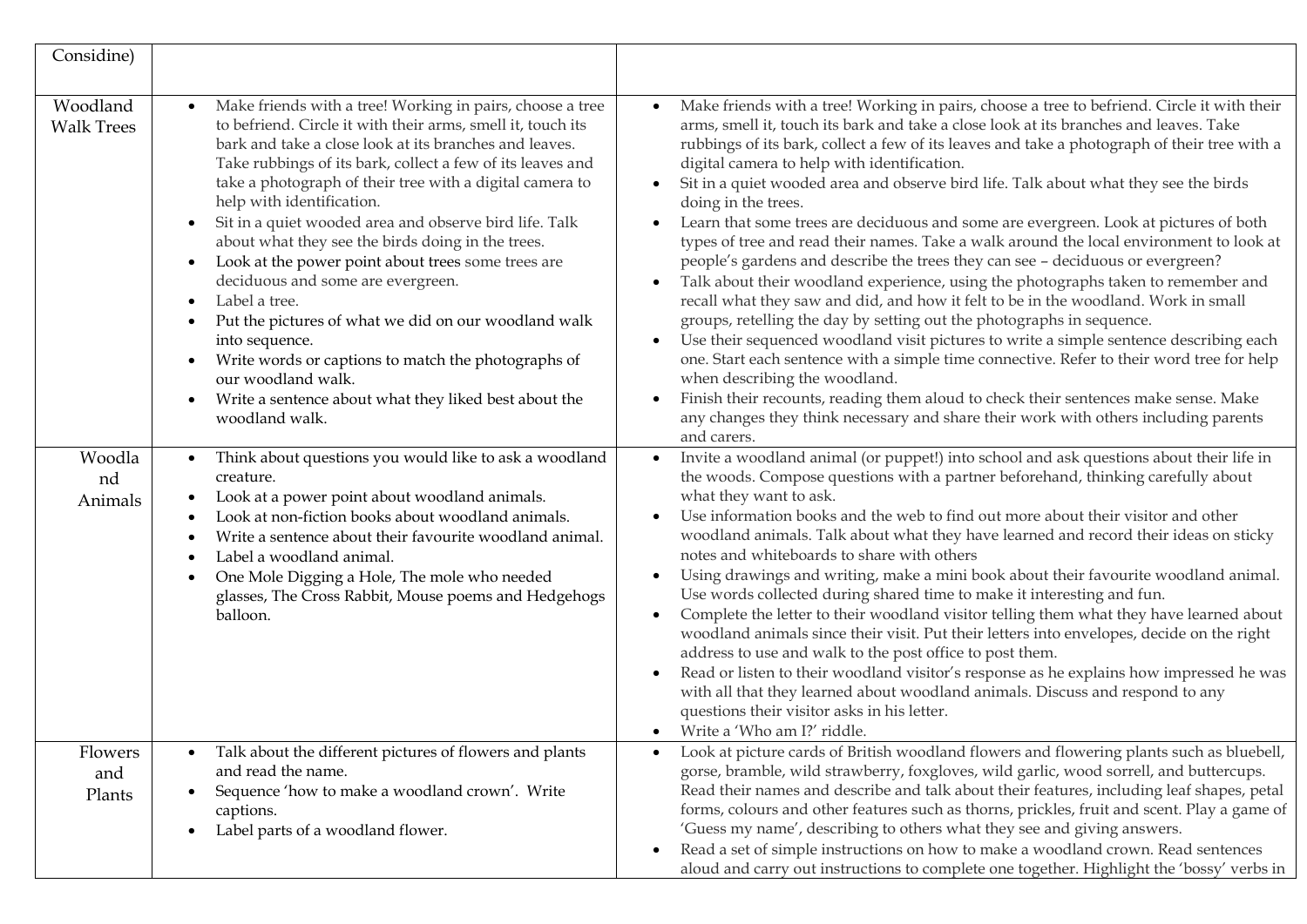| Considine)                    |                                                                                                                                                                                                                                                                                                                                                                                                                                                                                                                                                                                                                                                                                                                                                                                                                                                                                                   |                                                                                                                                                                                                                                                                                                                                                                                                                                                                                                                                                                                                                                                                                                                                                                                                                                                                                                                                                                                                                                                                                                                                                                                                                                                                                                                                                                                                               |
|-------------------------------|---------------------------------------------------------------------------------------------------------------------------------------------------------------------------------------------------------------------------------------------------------------------------------------------------------------------------------------------------------------------------------------------------------------------------------------------------------------------------------------------------------------------------------------------------------------------------------------------------------------------------------------------------------------------------------------------------------------------------------------------------------------------------------------------------------------------------------------------------------------------------------------------------|---------------------------------------------------------------------------------------------------------------------------------------------------------------------------------------------------------------------------------------------------------------------------------------------------------------------------------------------------------------------------------------------------------------------------------------------------------------------------------------------------------------------------------------------------------------------------------------------------------------------------------------------------------------------------------------------------------------------------------------------------------------------------------------------------------------------------------------------------------------------------------------------------------------------------------------------------------------------------------------------------------------------------------------------------------------------------------------------------------------------------------------------------------------------------------------------------------------------------------------------------------------------------------------------------------------------------------------------------------------------------------------------------------------|
| Woodland<br><b>Walk Trees</b> | Make friends with a tree! Working in pairs, choose a tree<br>$\bullet$<br>to befriend. Circle it with their arms, smell it, touch its<br>bark and take a close look at its branches and leaves.<br>Take rubbings of its bark, collect a few of its leaves and<br>take a photograph of their tree with a digital camera to<br>help with identification.<br>Sit in a quiet wooded area and observe bird life. Talk<br>$\bullet$<br>about what they see the birds doing in the trees.<br>Look at the power point about trees some trees are<br>$\bullet$<br>deciduous and some are evergreen.<br>Label a tree.<br>$\bullet$<br>Put the pictures of what we did on our woodland walk<br>$\bullet$<br>into sequence.<br>Write words or captions to match the photographs of<br>$\bullet$<br>our woodland walk.<br>Write a sentence about what they liked best about the<br>$\bullet$<br>woodland walk. | Make friends with a tree! Working in pairs, choose a tree to befriend. Circle it with their<br>$\bullet$<br>arms, smell it, touch its bark and take a close look at its branches and leaves. Take<br>rubbings of its bark, collect a few of its leaves and take a photograph of their tree with a<br>digital camera to help with identification.<br>Sit in a quiet wooded area and observe bird life. Talk about what they see the birds<br>doing in the trees.<br>Learn that some trees are deciduous and some are evergreen. Look at pictures of both<br>types of tree and read their names. Take a walk around the local environment to look at<br>people's gardens and describe the trees they can see - deciduous or evergreen?<br>Talk about their woodland experience, using the photographs taken to remember and<br>recall what they saw and did, and how it felt to be in the woodland. Work in small<br>groups, retelling the day by setting out the photographs in sequence.<br>Use their sequenced woodland visit pictures to write a simple sentence describing each<br>one. Start each sentence with a simple time connective. Refer to their word tree for help<br>when describing the woodland.<br>Finish their recounts, reading them aloud to check their sentences make sense. Make<br>any changes they think necessary and share their work with others including parents<br>and carers. |
| Woodla<br>nd<br>Animals       | Think about questions you would like to ask a woodland<br>$\bullet$<br>creature.<br>Look at a power point about woodland animals.<br>$\bullet$<br>Look at non-fiction books about woodland animals.<br>$\bullet$<br>Write a sentence about their favourite woodland animal.<br>$\bullet$<br>Label a woodland animal.<br>$\bullet$<br>One Mole Digging a Hole, The mole who needed<br>glasses, The Cross Rabbit, Mouse poems and Hedgehogs<br>balloon.                                                                                                                                                                                                                                                                                                                                                                                                                                             | Invite a woodland animal (or puppet!) into school and ask questions about their life in<br>$\bullet$<br>the woods. Compose questions with a partner beforehand, thinking carefully about<br>what they want to ask.<br>Use information books and the web to find out more about their visitor and other<br>woodland animals. Talk about what they have learned and record their ideas on sticky<br>notes and whiteboards to share with others<br>Using drawings and writing, make a mini book about their favourite woodland animal.<br>Use words collected during shared time to make it interesting and fun.<br>Complete the letter to their woodland visitor telling them what they have learned about<br>woodland animals since their visit. Put their letters into envelopes, decide on the right<br>address to use and walk to the post office to post them.<br>Read or listen to their woodland visitor's response as he explains how impressed he was<br>with all that they learned about woodland animals. Discuss and respond to any<br>questions their visitor asks in his letter.<br>• Write a 'Who am I?' riddle.                                                                                                                                                                                                                                                                                 |
| Flowers<br>and<br>Plants      | Talk about the different pictures of flowers and plants<br>$\bullet$<br>and read the name.<br>Sequence 'how to make a woodland crown'. Write<br>captions.<br>Label parts of a woodland flower.<br>$\bullet$                                                                                                                                                                                                                                                                                                                                                                                                                                                                                                                                                                                                                                                                                       | Look at picture cards of British woodland flowers and flowering plants such as bluebell,<br>gorse, bramble, wild strawberry, foxgloves, wild garlic, wood sorrell, and buttercups.<br>Read their names and describe and talk about their features, including leaf shapes, petal<br>forms, colours and other features such as thorns, prickles, fruit and scent. Play a game of<br>'Guess my name', describing to others what they see and giving answers.<br>Read a set of simple instructions on how to make a woodland crown. Read sentences<br>aloud and carry out instructions to complete one together. Highlight the 'bossy' verbs in                                                                                                                                                                                                                                                                                                                                                                                                                                                                                                                                                                                                                                                                                                                                                                   |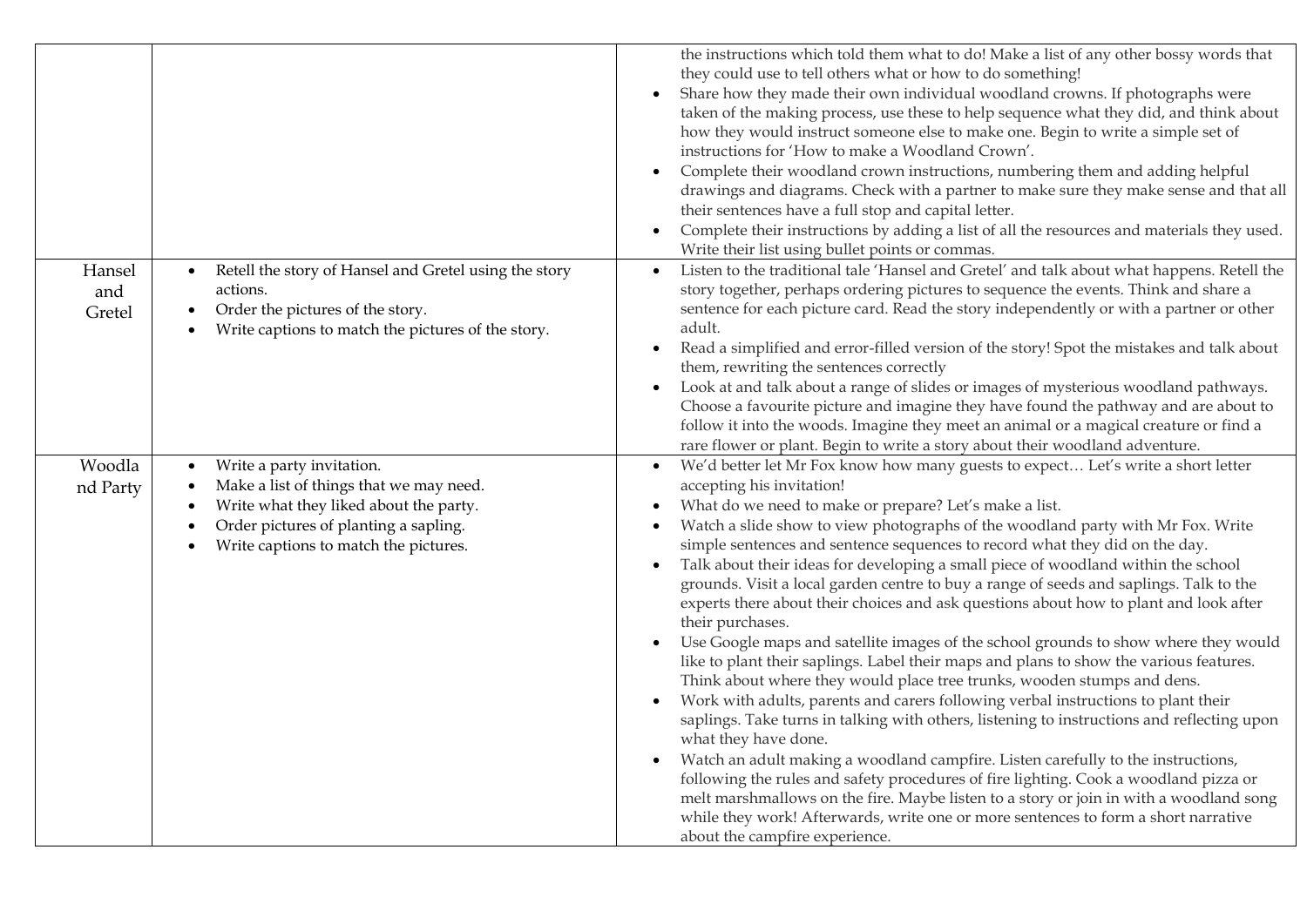|                         |                                                                                                                                                                                                                    | the instructions which told them what to do! Make a list of any other bossy words that<br>they could use to tell others what or how to do something!<br>Share how they made their own individual woodland crowns. If photographs were<br>taken of the making process, use these to help sequence what they did, and think about<br>how they would instruct someone else to make one. Begin to write a simple set of<br>instructions for 'How to make a Woodland Crown'.<br>Complete their woodland crown instructions, numbering them and adding helpful<br>drawings and diagrams. Check with a partner to make sure they make sense and that all<br>their sentences have a full stop and capital letter.<br>Complete their instructions by adding a list of all the resources and materials they used.<br>Write their list using bullet points or commas.                                                                                                                                                                                                                                                                                                                                                                                                                                                                                                                                                                                                                                                              |
|-------------------------|--------------------------------------------------------------------------------------------------------------------------------------------------------------------------------------------------------------------|-------------------------------------------------------------------------------------------------------------------------------------------------------------------------------------------------------------------------------------------------------------------------------------------------------------------------------------------------------------------------------------------------------------------------------------------------------------------------------------------------------------------------------------------------------------------------------------------------------------------------------------------------------------------------------------------------------------------------------------------------------------------------------------------------------------------------------------------------------------------------------------------------------------------------------------------------------------------------------------------------------------------------------------------------------------------------------------------------------------------------------------------------------------------------------------------------------------------------------------------------------------------------------------------------------------------------------------------------------------------------------------------------------------------------------------------------------------------------------------------------------------------------|
| Hansel<br>and<br>Gretel | Retell the story of Hansel and Gretel using the story<br>$\bullet$<br>actions.<br>Order the pictures of the story.<br>$\bullet$<br>Write captions to match the pictures of the story.                              | Listen to the traditional tale 'Hansel and Gretel' and talk about what happens. Retell the<br>$\bullet$<br>story together, perhaps ordering pictures to sequence the events. Think and share a<br>sentence for each picture card. Read the story independently or with a partner or other<br>adult.<br>Read a simplified and error-filled version of the story! Spot the mistakes and talk about<br>them, rewriting the sentences correctly<br>Look at and talk about a range of slides or images of mysterious woodland pathways.<br>Choose a favourite picture and imagine they have found the pathway and are about to<br>follow it into the woods. Imagine they meet an animal or a magical creature or find a<br>rare flower or plant. Begin to write a story about their woodland adventure.                                                                                                                                                                                                                                                                                                                                                                                                                                                                                                                                                                                                                                                                                                                      |
| Woodla<br>nd Party      | Write a party invitation.<br>Make a list of things that we may need.<br>$\bullet$<br>Write what they liked about the party.<br>٠<br>Order pictures of planting a sapling.<br>Write captions to match the pictures. | We'd better let Mr Fox know how many guests to expect Let's write a short letter<br>$\bullet$<br>accepting his invitation!<br>What do we need to make or prepare? Let's make a list.<br>Watch a slide show to view photographs of the woodland party with Mr Fox. Write<br>simple sentences and sentence sequences to record what they did on the day.<br>Talk about their ideas for developing a small piece of woodland within the school<br>grounds. Visit a local garden centre to buy a range of seeds and saplings. Talk to the<br>experts there about their choices and ask questions about how to plant and look after<br>their purchases.<br>Use Google maps and satellite images of the school grounds to show where they would<br>like to plant their saplings. Label their maps and plans to show the various features.<br>Think about where they would place tree trunks, wooden stumps and dens.<br>Work with adults, parents and carers following verbal instructions to plant their<br>saplings. Take turns in talking with others, listening to instructions and reflecting upon<br>what they have done.<br>Watch an adult making a woodland campfire. Listen carefully to the instructions,<br>following the rules and safety procedures of fire lighting. Cook a woodland pizza or<br>melt marshmallows on the fire. Maybe listen to a story or join in with a woodland song<br>while they work! Afterwards, write one or more sentences to form a short narrative<br>about the campfire experience. |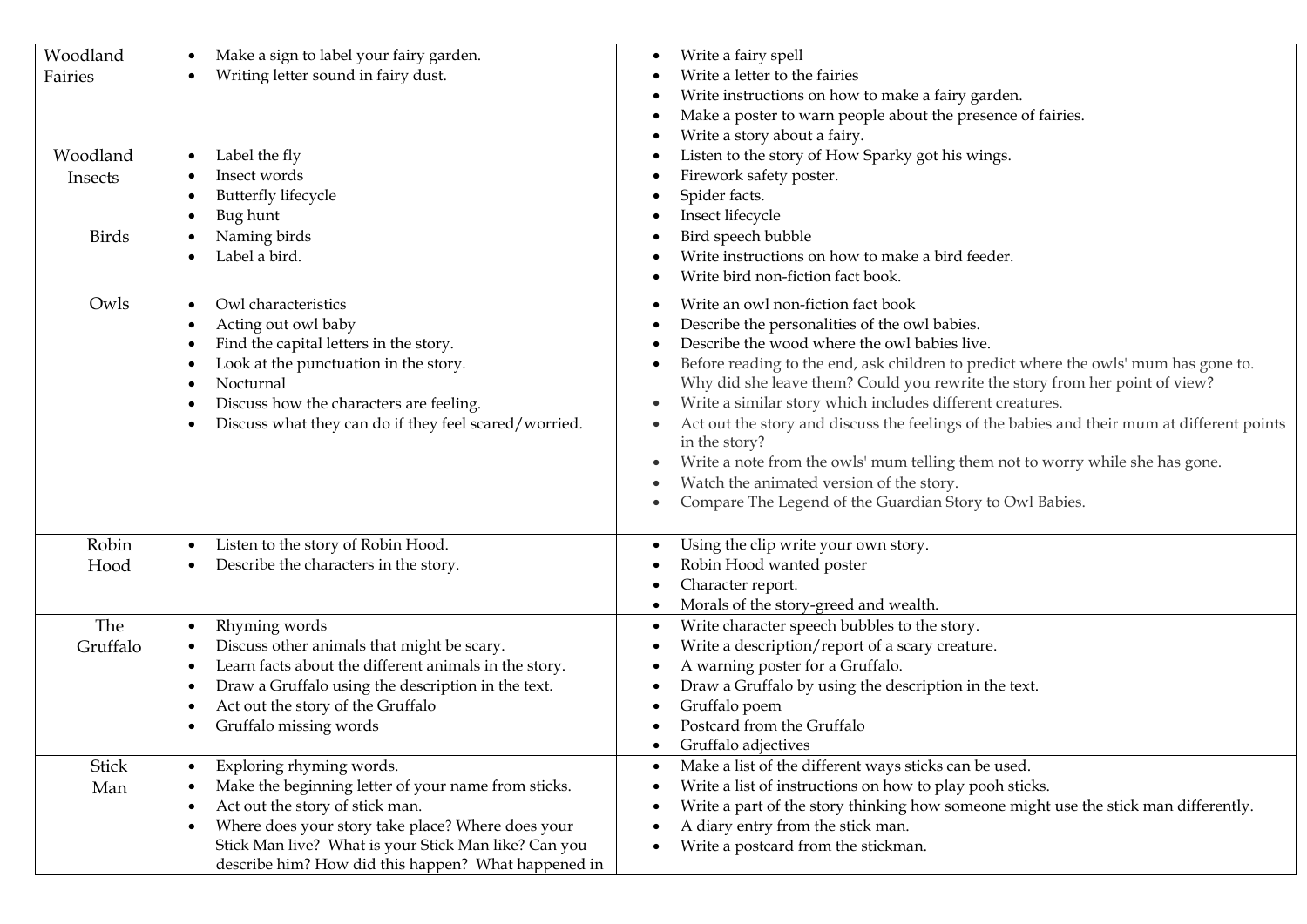| Woodland     | Make a sign to label your fairy garden.                            | Write a fairy spell                                                                        |
|--------------|--------------------------------------------------------------------|--------------------------------------------------------------------------------------------|
| Fairies      | Writing letter sound in fairy dust.                                | Write a letter to the fairies                                                              |
|              |                                                                    | Write instructions on how to make a fairy garden.                                          |
|              |                                                                    | Make a poster to warn people about the presence of fairies.                                |
|              |                                                                    | Write a story about a fairy.                                                               |
| Woodland     | Label the fly                                                      | Listen to the story of How Sparky got his wings.                                           |
| Insects      | Insect words                                                       | Firework safety poster.                                                                    |
|              | <b>Butterfly lifecycle</b>                                         | Spider facts.                                                                              |
|              | Bug hunt<br>$\bullet$                                              | Insect lifecycle                                                                           |
| <b>Birds</b> | Naming birds<br>$\bullet$                                          | Bird speech bubble                                                                         |
|              | Label a bird.                                                      | Write instructions on how to make a bird feeder.                                           |
|              |                                                                    | Write bird non-fiction fact book.                                                          |
| Owls         | Owl characteristics<br>$\bullet$                                   | Write an owl non-fiction fact book                                                         |
|              | Acting out owl baby<br>$\bullet$                                   | Describe the personalities of the owl babies.                                              |
|              | Find the capital letters in the story.<br>$\bullet$                | Describe the wood where the owl babies live.                                               |
|              | Look at the punctuation in the story.<br>$\bullet$                 | Before reading to the end, ask children to predict where the owls' mum has gone to.        |
|              | Nocturnal<br>$\bullet$                                             | Why did she leave them? Could you rewrite the story from her point of view?                |
|              | Discuss how the characters are feeling.<br>$\bullet$               | Write a similar story which includes different creatures.                                  |
|              | Discuss what they can do if they feel scared/worried.<br>$\bullet$ | Act out the story and discuss the feelings of the babies and their mum at different points |
|              |                                                                    | in the story?                                                                              |
|              |                                                                    | Write a note from the owls' mum telling them not to worry while she has gone.              |
|              |                                                                    | Watch the animated version of the story.                                                   |
|              |                                                                    | Compare The Legend of the Guardian Story to Owl Babies.                                    |
| Robin        | Listen to the story of Robin Hood.                                 | Using the clip write your own story.                                                       |
| Hood         | Describe the characters in the story.                              | Robin Hood wanted poster                                                                   |
|              |                                                                    | Character report.                                                                          |
|              |                                                                    | Morals of the story-greed and wealth.                                                      |
| The          | Rhyming words<br>$\bullet$                                         | Write character speech bubbles to the story.                                               |
| Gruffalo     | Discuss other animals that might be scary.<br>$\bullet$            | Write a description/report of a scary creature.                                            |
|              | Learn facts about the different animals in the story.<br>$\bullet$ | A warning poster for a Gruffalo.                                                           |
|              | Draw a Gruffalo using the description in the text.<br>$\bullet$    | Draw a Gruffalo by using the description in the text.                                      |
|              | Act out the story of the Gruffalo<br>$\bullet$                     | Gruffalo poem                                                                              |
|              | Gruffalo missing words<br>$\bullet$                                | Postcard from the Gruffalo                                                                 |
|              |                                                                    | Gruffalo adjectives<br>٠                                                                   |
| <b>Stick</b> | Exploring rhyming words.<br>$\bullet$                              | Make a list of the different ways sticks can be used.                                      |
| Man          | Make the beginning letter of your name from sticks.                | Write a list of instructions on how to play pooh sticks.                                   |
|              | Act out the story of stick man.<br>$\bullet$                       | Write a part of the story thinking how someone might use the stick man differently.        |
|              | Where does your story take place? Where does your<br>$\bullet$     | A diary entry from the stick man.                                                          |
|              | Stick Man live? What is your Stick Man like? Can you               | Write a postcard from the stickman.                                                        |
|              | describe him? How did this happen? What happened in                |                                                                                            |